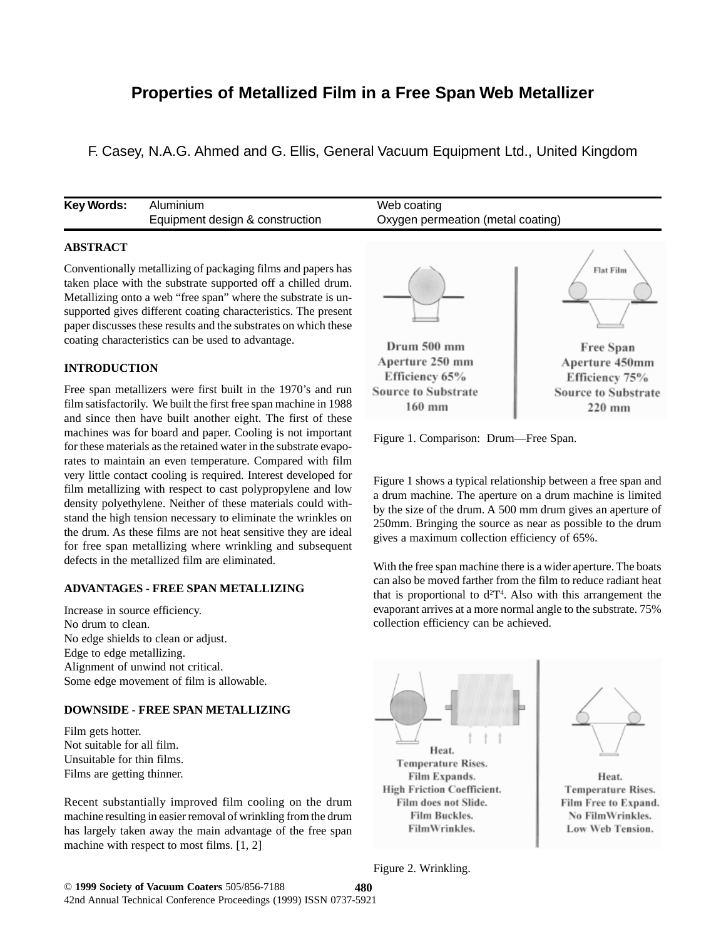# **Properties of Metallized Film in a Free Span Web Metallizer**

F. Casey, N.A.G. Ahmed and G. Ellis, General Vacuum Equipment Ltd., United Kingdom

| Key Words: | Aluminium                       | Web coating                       |
|------------|---------------------------------|-----------------------------------|
|            | Equipment design & construction | Oxygen permeation (metal coating) |
|            |                                 |                                   |

## **ABSTRACT**

Conventionally metallizing of packaging films and papers has taken place with the substrate supported off a chilled drum. Metallizing onto a web "free span" where the substrate is unsupported gives different coating characteristics. The present paper discusses these results and the substrates on which these coating characteristics can be used to advantage.

## **INTRODUCTION**

Free span metallizers were first built in the 1970's and run film satisfactorily. We built the first free span machine in 1988 and since then have built another eight. The first of these machines was for board and paper. Cooling is not important for these materials as the retained water in the substrate evaporates to maintain an even temperature. Compared with film very little contact cooling is required. Interest developed for film metallizing with respect to cast polypropylene and low density polyethylene. Neither of these materials could withstand the high tension necessary to eliminate the wrinkles on the drum. As these films are not heat sensitive they are ideal for free span metallizing where wrinkling and subsequent defects in the metallized film are eliminated.

#### **ADVANTAGES - FREE SPAN METALLIZING**

Increase in source efficiency. No drum to clean. No edge shields to clean or adjust. Edge to edge metallizing. Alignment of unwind not critical. Some edge movement of film is allowable.

## **DOWNSIDE - FREE SPAN METALLIZING**

Film gets hotter. Not suitable for all film. Unsuitable for thin films. Films are getting thinner.

Recent substantially improved film cooling on the drum machine resulting in easier removal of wrinkling from the drum has largely taken away the main advantage of the free span machine with respect to most films. [1, 2]



Figure 1. Comparison: Drum—Free Span.

Figure 1 shows a typical relationship between a free span and a drum machine. The aperture on a drum machine is limited by the size of the drum. A 500 mm drum gives an aperture of 250mm. Bringing the source as near as possible to the drum gives a maximum collection efficiency of 65%.

With the free span machine there is a wider aperture. The boats can also be moved farther from the film to reduce radiant heat that is proportional to  $d^2T^4$ . Also with this arrangement the evaporant arrives at a more normal angle to the substrate. 75% collection efficiency can be achieved.





Heat. **Temperature Rises.** Film Free to Expand. No FilmWrinkles. Low Web Tension.

Figure 2. Wrinkling.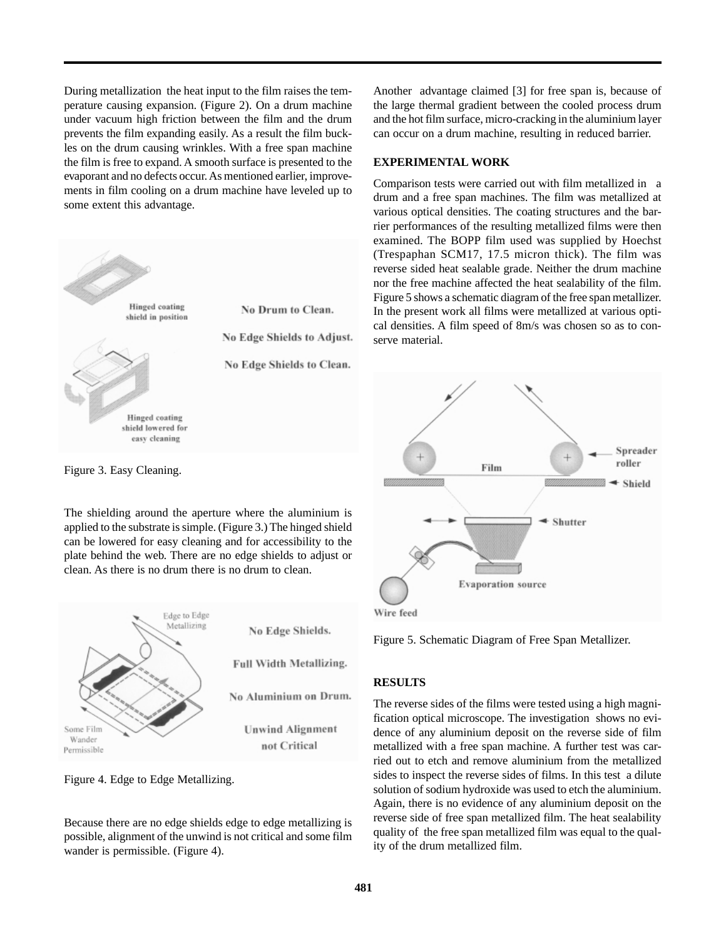During metallization the heat input to the film raises the temperature causing expansion. (Figure 2). On a drum machine under vacuum high friction between the film and the drum prevents the film expanding easily. As a result the film buckles on the drum causing wrinkles. With a free span machine the film is free to expand. A smooth surface is presented to the evaporant and no defects occur. As mentioned earlier, improvements in film cooling on a drum machine have leveled up to some extent this advantage.



Figure 3. Easy Cleaning.

The shielding around the aperture where the aluminium is applied to the substrate is simple. (Figure 3.) The hinged shield can be lowered for easy cleaning and for accessibility to the plate behind the web. There are no edge shields to adjust or clean. As there is no drum there is no drum to clean.



Figure 4. Edge to Edge Metallizing.

Because there are no edge shields edge to edge metallizing is possible, alignment of the unwind is not critical and some film wander is permissible. (Figure 4).

Another advantage claimed [3] for free span is, because of the large thermal gradient between the cooled process drum and the hot film surface, micro-cracking in the aluminium layer can occur on a drum machine, resulting in reduced barrier.

#### **EXPERIMENTAL WORK**

Comparison tests were carried out with film metallized in a drum and a free span machines. The film was metallized at various optical densities. The coating structures and the barrier performances of the resulting metallized films were then examined. The BOPP film used was supplied by Hoechst (Trespaphan SCM17, 17.5 micron thick). The film was reverse sided heat sealable grade. Neither the drum machine nor the free machine affected the heat sealability of the film. Figure 5 shows a schematic diagram of the free span metallizer. In the present work all films were metallized at various optical densities. A film speed of 8m/s was chosen so as to conserve material.



Figure 5. Schematic Diagram of Free Span Metallizer.

## **RESULTS**

The reverse sides of the films were tested using a high magnification optical microscope. The investigation shows no evidence of any aluminium deposit on the reverse side of film metallized with a free span machine. A further test was carried out to etch and remove aluminium from the metallized sides to inspect the reverse sides of films. In this test a dilute solution of sodium hydroxide was used to etch the aluminium. Again, there is no evidence of any aluminium deposit on the reverse side of free span metallized film. The heat sealability quality of the free span metallized film was equal to the quality of the drum metallized film.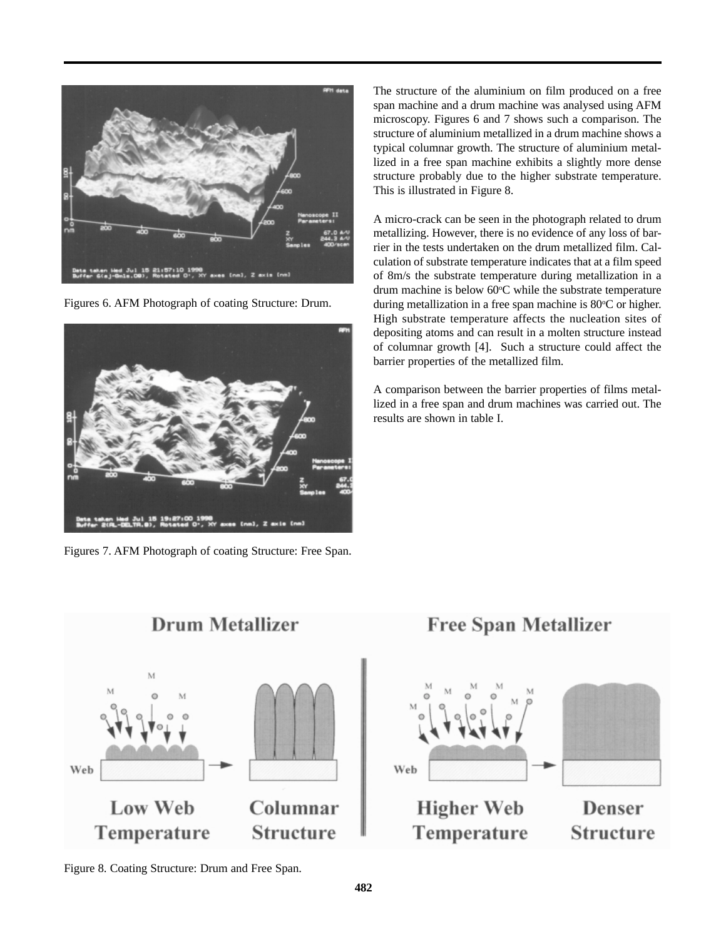

Figures 6. AFM Photograph of coating Structure: Drum.



Figures 7. AFM Photograph of coating Structure: Free Span.

The structure of the aluminium on film produced on a free span machine and a drum machine was analysed using AFM microscopy. Figures 6 and 7 shows such a comparison. The structure of aluminium metallized in a drum machine shows a typical columnar growth. The structure of aluminium metallized in a free span machine exhibits a slightly more dense structure probably due to the higher substrate temperature. This is illustrated in Figure 8.

A micro-crack can be seen in the photograph related to drum metallizing. However, there is no evidence of any loss of barrier in the tests undertaken on the drum metallized film. Calculation of substrate temperature indicates that at a film speed of 8m/s the substrate temperature during metallization in a drum machine is below 60°C while the substrate temperature during metallization in a free span machine is 80°C or higher. High substrate temperature affects the nucleation sites of depositing atoms and can result in a molten structure instead of columnar growth [4]. Such a structure could affect the barrier properties of the metallized film.

A comparison between the barrier properties of films metallized in a free span and drum machines was carried out. The results are shown in table I.



Figure 8. Coating Structure: Drum and Free Span.